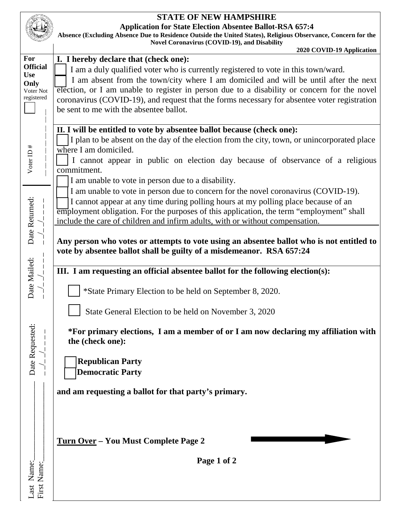|                                                                         | <b>STATE OF NEW HAMPSHIRE</b><br><b>Application for State Election Absentee Ballot-RSA 657:4</b><br>Absence (Excluding Absence Due to Residence Outside the United States), Religious Observance, Concern for the<br><b>Novel Coronavirus (COVID-19), and Disability</b><br>2020 COVID-19 Application                                                                                                                                                                                                                             |
|-------------------------------------------------------------------------|-----------------------------------------------------------------------------------------------------------------------------------------------------------------------------------------------------------------------------------------------------------------------------------------------------------------------------------------------------------------------------------------------------------------------------------------------------------------------------------------------------------------------------------|
| For<br><b>Official</b><br><b>Use</b><br>Only<br>Voter Not<br>registered | I. I hereby declare that (check one):<br>I am a duly qualified voter who is currently registered to vote in this town/ward.<br>I am absent from the town/city where I am domiciled and will be until after the next<br>election, or I am unable to register in person due to a disability or concern for the novel<br>coronavirus (COVID-19), and request that the forms necessary for absentee voter registration<br>be sent to me with the absentee ballot.                                                                     |
| Voter ID #                                                              | II. I will be entitled to vote by absentee ballot because (check one):<br>I plan to be absent on the day of the election from the city, town, or unincorporated place<br>where I am domiciled.<br>I cannot appear in public on election day because of observance of a religious<br>commitment.<br>I am unable to vote in person due to a disability.<br>I am unable to vote in person due to concern for the novel coronavirus (COVID-19).<br>I cannot appear at any time during polling hours at my polling place because of an |
| Date Returned:<br>Date Mailed:                                          | employment obligation. For the purposes of this application, the term "employment" shall<br>include the care of children and infirm adults, with or without compensation.<br>Any person who votes or attempts to vote using an absentee ballot who is not entitled to<br>vote by absentee ballot shall be guilty of a misdemeanor. RSA 657:24<br>III. I am requesting an official absentee ballot for the following election(s):<br>*State Primary Election to be held on September 8, 2020.                                      |
| Date Requested:                                                         | State General Election to be held on November 3, 2020<br>*For primary elections, I am a member of or I am now declaring my affiliation with<br>the (check one):<br><b>Republican Party</b><br><b>Democratic Party</b><br>and am requesting a ballot for that party's primary.                                                                                                                                                                                                                                                     |
| Name:<br>First Name:<br>Last                                            | Turn Over - You Must Complete Page 2<br>Page 1 of 2                                                                                                                                                                                                                                                                                                                                                                                                                                                                               |